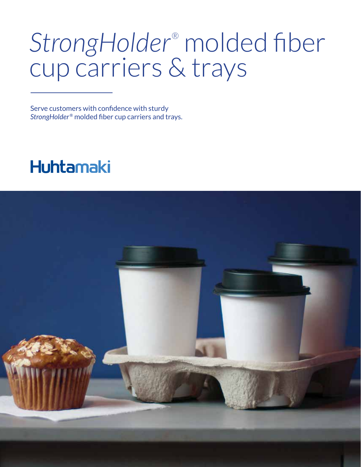## *StrongHolder*® molded fiber cup carriers & trays

Serve customers with confidence with sturdy *StrongHolder*® molded fiber cup carriers and trays.

### **Huhtamaki**

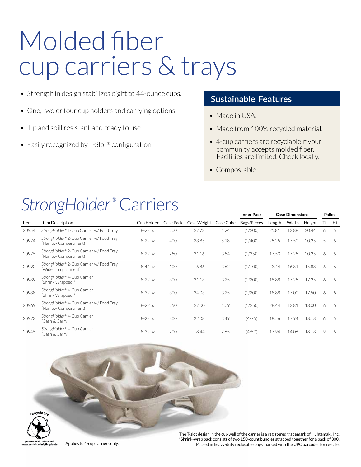## Molded fiber cup carriers & trays

- Strength in design stabilizes eight to 44-ounce cups.
- One, two or four cup holders and carrying options.
- Tip and spill resistant and ready to use.
- Easily recognized by T-Slot<sup>®</sup> configuration.

#### **Sustainable Features**

- Made in USA.
- Made from 100% recycled material.
- 4-cup carriers are recyclable if your community accepts molded fiber. Facilities are limited. Check locally.
- Compostable.

### StrongHolder<sup>®</sup> Carriers

|       |                                                                              |            |           |             |           | <b>Inner Pack</b> | <b>Case Dimensions</b> |       |        | Pallet |    |
|-------|------------------------------------------------------------------------------|------------|-----------|-------------|-----------|-------------------|------------------------|-------|--------|--------|----|
| Item  | Item Description                                                             | Cup Holder | Case Pack | Case Weight | Case Cube | Bags/Pieces       | Length                 | Width | Height | Τi     | Hi |
| 20954 | StrongHolder <sup>®</sup> 1-Cup Carrier w/ Food Tray                         | $8-22$ oz  | 200       | 27.73       | 4.24      | (1/200)           | 25.81                  | 13.88 | 20.44  | 6      | 5  |
| 20974 | StrongHolder® 2-Cup Carrier w/ Food Tray<br>(Narrow Compartment)             | $8-22$ oz  | 400       | 33.85       | 5.18      | (1/400)           | 25.25                  | 17.50 | 20.25  | 5      | 5  |
| 20975 | StrongHolder <sup>®</sup> 2-Cup Carrier w/ Food Tray<br>(Narrow Compartment) | $8-22$ oz  | 250       | 21.16       | 3.54      | (1/250)           | 17.50                  | 17.25 | 20.25  | 6      | 5  |
| 20990 | StrongHolder <sup>®</sup> 2-Cup Carrier w/ Food Tray<br>(Wide Compartment)   | $8-44$ oz  | 100       | 16.86       | 3.62      | (1/100)           | 23.44                  | 16.81 | 15.88  | 6      | 6  |
| 20939 | StrongHolder <sup>®</sup> 4-Cup Carrier<br>(Shrink Wrapped)*                 | $8-22$ oz  | 300       | 21.13       | 3.25      | (1/300)           | 18.88                  | 17.25 | 17.25  | 6      | 5  |
| 20938 | StrongHolder <sup>®</sup> 4-Cup Carrier<br>(Shrink Wrapped)*                 | $8-32$ oz  | 300       | 24.03       | 3.25      | (1/300)           | 18.88                  | 17.00 | 17.50  | 6      | 5  |
| 20969 | StrongHolder <sup>®</sup> 4-Cup Carrier w/ Food Tray<br>(Narrow Compartment) | $8-22$ oz  | 250       | 27.00       | 4.09      | (1/250)           | 28.44                  | 13.81 | 18.00  | 6      | 5  |
| 20973 | StrongHolder <sup>®</sup> 4-Cup Carrier<br>$(Cash & Carry)$ <sup>†</sup>     | $8-22$ oz  | 300       | 22.08       | 3.49      | (4/75)            | 18.56                  | 17.94 | 18.13  | 6      | 5  |
| 20945 | StrongHolder <sup>®</sup> 4-Cup Carrier<br>(Cash & Carry) <sup>†</sup>       | $8-32$ oz  | 200       | 18.44       | 2.65      | (4/50)            | 17.94                  | 14.06 | 18.13  | 9      | 5  |



The T-slot design in the cup well of the carrier is a registered trademark of Huhtamaki, Inc. \*Shrink-wrap pack consists of two 150-count bundles strapped together for a pack of 300. † Applies to 4-cup carriers only. Packed in heavy-duty reclosable bags marked with the UPC barcodes for re-sale.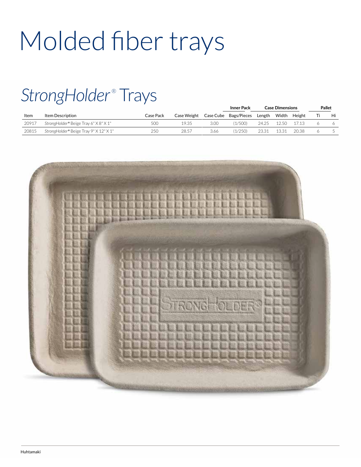# Molded fiber trays

### StrongHolder<sup>®</sup> Trays

|       |                                        |           |             |           | <b>Inner Pack</b> | <b>Case Dimensions</b> |       |        | <b>Pallet</b> |    |
|-------|----------------------------------------|-----------|-------------|-----------|-------------------|------------------------|-------|--------|---------------|----|
| Item  | Item Description                       | Case Pack | Case Weight | Case Cube | Bags/Pieces       | Length                 | Width | Height |               | Hi |
| 20917 | StrongHolder® Beige Tray 6" X 8" X 1"  | 500       | 19.35       | 3.00      | (1/500)           | 24.25                  | 12.50 | 17.13  |               |    |
| 20815 | StrongHolder® Beige Tray 9" X 12" X 1" | 250       | 28.57       | 3.66      | (1/250)           | 23.31                  | 13.31 | 20.38  |               |    |